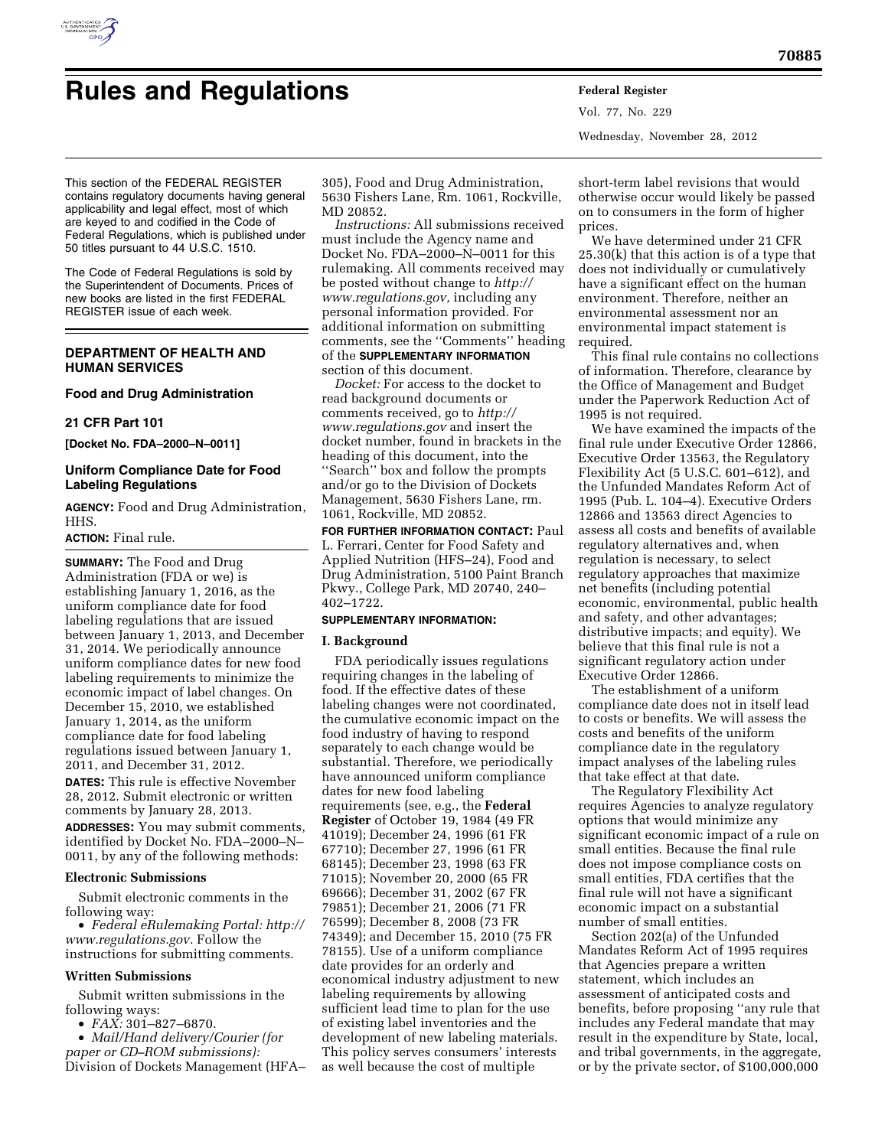

# **Rules and Regulations Federal Register**

Vol. 77, No. 229 Wednesday, November 28, 2012

This section of the FEDERAL REGISTER contains regulatory documents having general applicability and legal effect, most of which are keyed to and codified in the Code of Federal Regulations, which is published under 50 titles pursuant to 44 U.S.C. 1510.

The Code of Federal Regulations is sold by the Superintendent of Documents. Prices of new books are listed in the first FEDERAL REGISTER issue of each week.

## **DEPARTMENT OF HEALTH AND HUMAN SERVICES**

#### **Food and Drug Administration**

#### **21 CFR Part 101**

**[Docket No. FDA–2000–N–0011]** 

# **Uniform Compliance Date for Food Labeling Regulations**

**AGENCY:** Food and Drug Administration, HHS.

#### **ACTION:** Final rule.

**SUMMARY:** The Food and Drug Administration (FDA or we) is establishing January 1, 2016, as the uniform compliance date for food labeling regulations that are issued between January 1, 2013, and December 31, 2014. We periodically announce uniform compliance dates for new food labeling requirements to minimize the economic impact of label changes. On December 15, 2010, we established January 1, 2014, as the uniform compliance date for food labeling regulations issued between January 1, 2011, and December 31, 2012. **DATES:** This rule is effective November 28, 2012. Submit electronic or written comments by January 28, 2013. **ADDRESSES:** You may submit comments,

identified by Docket No. FDA–2000–N– 0011, by any of the following methods:

# **Electronic Submissions**

Submit electronic comments in the following way:

• *Federal eRulemaking Portal: [http://](http://www.regulations.gov)  [www.regulations.gov.](http://www.regulations.gov)* Follow the instructions for submitting comments.

#### **Written Submissions**

Submit written submissions in the following ways:

• *FAX:* 301–827–6870.

• *Mail/Hand delivery/Courier (for paper or CD–ROM submissions):*  Division of Dockets Management (HFA– 305), Food and Drug Administration, 5630 Fishers Lane, Rm. 1061, Rockville, MD 20852.

*Instructions:* All submissions received must include the Agency name and Docket No. FDA–2000–N–0011 for this rulemaking. All comments received may be posted without change to *[http://](http://www.regulations.gov) [www.regulations.gov,](http://www.regulations.gov)* including any personal information provided. For additional information on submitting comments, see the ''Comments'' heading of the **SUPPLEMENTARY INFORMATION** section of this document.

*Docket:* For access to the docket to read background documents or comments received, go to *[http://](http://www.regulations.gov)  [www.regulations.gov](http://www.regulations.gov)* and insert the docket number, found in brackets in the heading of this document, into the ''Search'' box and follow the prompts and/or go to the Division of Dockets Management, 5630 Fishers Lane, rm. 1061, Rockville, MD 20852.

**FOR FURTHER INFORMATION CONTACT:** Paul L. Ferrari, Center for Food Safety and Applied Nutrition (HFS–24), Food and Drug Administration, 5100 Paint Branch Pkwy., College Park, MD 20740, 240– 402–1722.

## **SUPPLEMENTARY INFORMATION:**

#### **I. Background**

FDA periodically issues regulations requiring changes in the labeling of food. If the effective dates of these labeling changes were not coordinated, the cumulative economic impact on the food industry of having to respond separately to each change would be substantial. Therefore, we periodically have announced uniform compliance dates for new food labeling requirements (see, e.g., the **Federal Register** of October 19, 1984 (49 FR 41019); December 24, 1996 (61 FR 67710); December 27, 1996 (61 FR 68145); December 23, 1998 (63 FR 71015); November 20, 2000 (65 FR 69666); December 31, 2002 (67 FR 79851); December 21, 2006 (71 FR 76599); December 8, 2008 (73 FR 74349); and December 15, 2010 (75 FR 78155). Use of a uniform compliance date provides for an orderly and economical industry adjustment to new labeling requirements by allowing sufficient lead time to plan for the use of existing label inventories and the development of new labeling materials. This policy serves consumers' interests as well because the cost of multiple

short-term label revisions that would otherwise occur would likely be passed on to consumers in the form of higher prices.

We have determined under 21 CFR 25.30(k) that this action is of a type that does not individually or cumulatively have a significant effect on the human environment. Therefore, neither an environmental assessment nor an environmental impact statement is required.

This final rule contains no collections of information. Therefore, clearance by the Office of Management and Budget under the Paperwork Reduction Act of 1995 is not required.

We have examined the impacts of the final rule under Executive Order 12866, Executive Order 13563, the Regulatory Flexibility Act (5 U.S.C. 601–612), and the Unfunded Mandates Reform Act of 1995 (Pub. L. 104–4). Executive Orders 12866 and 13563 direct Agencies to assess all costs and benefits of available regulatory alternatives and, when regulation is necessary, to select regulatory approaches that maximize net benefits (including potential economic, environmental, public health and safety, and other advantages; distributive impacts; and equity). We believe that this final rule is not a significant regulatory action under Executive Order 12866.

The establishment of a uniform compliance date does not in itself lead to costs or benefits. We will assess the costs and benefits of the uniform compliance date in the regulatory impact analyses of the labeling rules that take effect at that date.

The Regulatory Flexibility Act requires Agencies to analyze regulatory options that would minimize any significant economic impact of a rule on small entities. Because the final rule does not impose compliance costs on small entities, FDA certifies that the final rule will not have a significant economic impact on a substantial number of small entities.

Section 202(a) of the Unfunded Mandates Reform Act of 1995 requires that Agencies prepare a written statement, which includes an assessment of anticipated costs and benefits, before proposing ''any rule that includes any Federal mandate that may result in the expenditure by State, local, and tribal governments, in the aggregate, or by the private sector, of \$100,000,000